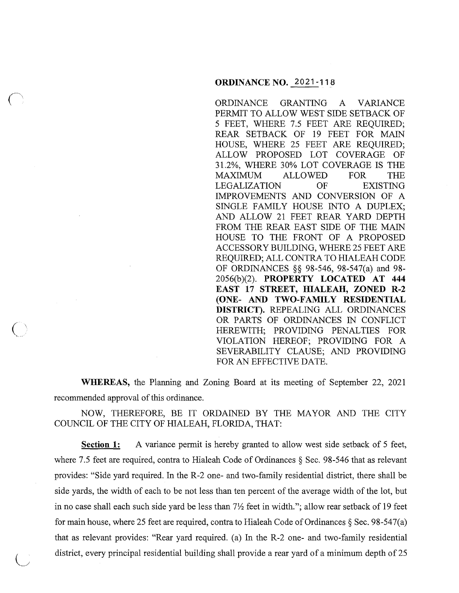#### **ORDINANCE NO. 2021-118**

ORDINANCE GRANTING A VARIANCE PERMIT TO ALLOW WEST SIDE SETBACK OF 5 FEET, WHERE 7.5 FEET ARE REQUIRED; REAR SETBACK OF 19 FEET FOR MAIN HOUSE, WHERE 25 FEET ARE REQUIRED; ALLOW PROPOSED LOT COVERAGE OF 31.2%, WHERE 30% LOT COVERAGE IS THE MAXIMUM ALLOWED FOR THE LEGALIZATION OF EXISTING IMPROVEMENTS AND CONVERSION OF A SINGLE FAMILY HOUSE INTO A DUPLEX; AND ALLOW 21 FEET REAR YARD DEPTH FROM THE REAR EAST SIDE OF THE MAIN HOUSE TO THE FRONT OF A PROPOSED ACCESSORY BUILDING, WHERE 25 FEET ARE REQUIRED; ALL CONTRA TO HIALEAH CODE OF ORDINANCES §§ 98-546, 98-547(a) and 98- 2056(b)(2). **PROPERTY LOCATED AT 444 EAST 17 STREET, HIALEAH, ZONED R-2 (ONE- AND TWO-FAMILY RESIDENTIAL DISTRICT).** REPEALING ALL ORDINANCES OR PARTS OF ORDINANCES IN CONFLICT HEREWITH; PROVIDING PENALTIES FOR VIOLATION HEREOF; PROVIDING FOR A SEVERABILITY CLAUSE; AND PROVIDING FOR AN EFFECTIVE DATE.

**WHEREAS,** the Planning and Zoning Board at its meeting of September 22, 2021 recommended approval of this ordinance.

 $\overline{(\ )}$ 

 $\bigcup$ 

NOW, THEREFORE, BE IT ORDAINED BY THE MAYOR AND THE CITY COUNCIL OF THE CITY OF HIALEAH, FLORIDA, THAT:

**Section 1:** A variance permit is hereby granted to allow west side setback of 5 feet, where 7.5 feet are required, contra to Hialeah Code of Ordinances § Sec. 98-546 that as relevant provides: "Side yard required. In the R-2 one- and two-family residential district, there shall be side yards, the width of each to be not less than ten percent of the average width of the lot, but in no case shall each such side yard be less than  $7\frac{1}{2}$  feet in width."; allow rear setback of 19 feet for main house, where 25 feet are required, contra to Hialeah Code of Ordinances  $\S$  Sec. 98-547(a) that as relevant provides: "Rear yard required. (a) In the R-2 one- and two-family residential district, every principal residential building shall provide a rear yard of a minimum depth of 25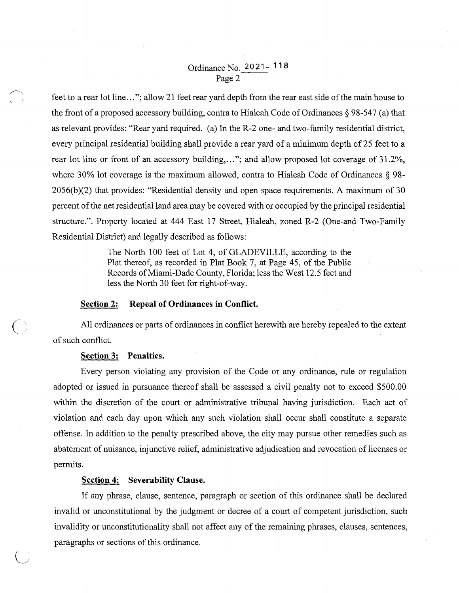# Ordinance No. 2 O 21 - **11** 8 Page 2

feet to a rear lot line ... "; allow 21 feet rear yard depth from the rear east side of the main house to the front of a proposed accessory building, contra to Hialeah Code of Ordinances  $\S$  98-547 (a) that as relevant provides: "Rear yard required. (a) In the R-2 one- and two-family residential district, every principal residential building shall provide a rear yard of a minimum depth of 25 feet to a rear lot line or front of an accessory building, ... "; and allow proposed lot coverage of 31.2%, where 30% lot coverage is the maximum allowed, contra to Hialeah Code of Ordinances § 98-  $2056(b)(2)$  that provides: "Residential density and open space requirements. A maximum of 30 percent of the net residential land area may be covered with or occupied by the principal residential structure.". Property located at 444 East 17 Street, Hialeah, zoned R-2 (One-and Two-Family Residential District) and legally described as follows:

> The North 100 feet of Lot 4, of GLADEVILLE, according to the Plat thereof, as recorded in Plat Book 7, at Page 45, of the Public Records of Miami-Dade County, Florida; less the West 12.5 feet and less the North 30 feet for right-of-way.

### **Section 2: Repeal of Ordinances in Conflict.**

All ordinances or parts of ordinances in conflict herewith are hereby repealed to the extent of such conflict.

## **Section 3: Penalties.**

 $\overline{()}$ 

Every person violating any provision of the Code or any ordinance, rule or regulation adopted or issued in pursuance thereof shall be assessed a civil penalty not to exceed \$500.00 within the discretion of the court or administrative tribunal having jurisdiction. Each act of violation and each day upon which any such violation shall occur shall constitute a separate offense. In addition to the penalty prescribed above, the city may pursue other remedies such as abatement of nuisance, injunctive relief, administrative adjudication and revocation of licenses or permits.

### **Section 4: Severability Clause.**

If any phrase, clause, sentence, paragraph or section of this ordinance shall be declared invalid or unconstitutional by the judgment or decree of a court of competent jurisdiction, such invalidity or unconstitutionality shall not affect any of the remaining phrases, clauses, sentences, paragraphs or sections of this ordinance.